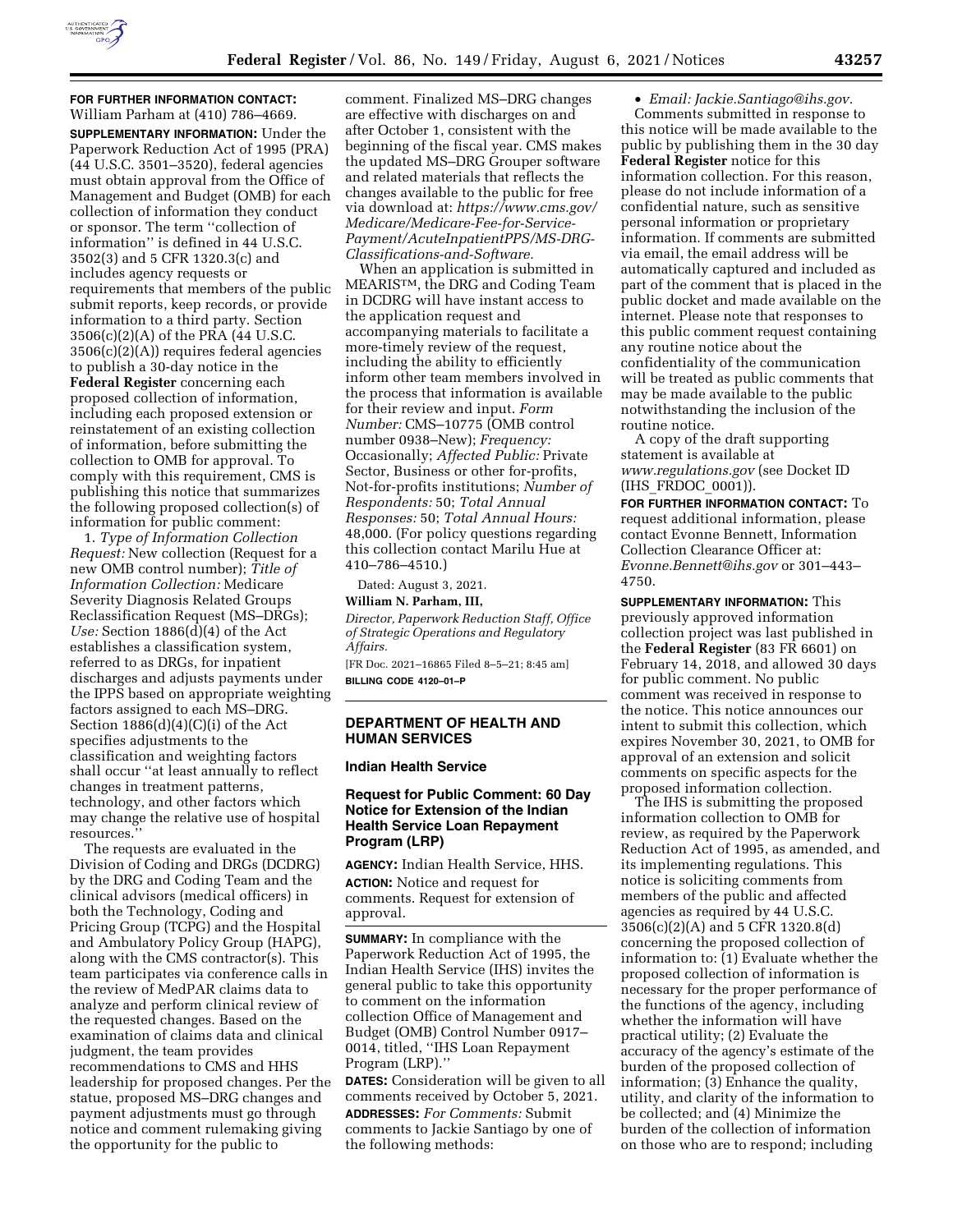

### **FOR FURTHER INFORMATION CONTACT:**  William Parham at (410) 786–4669.

**SUPPLEMENTARY INFORMATION:** Under the Paperwork Reduction Act of 1995 (PRA) (44 U.S.C. 3501–3520), federal agencies must obtain approval from the Office of Management and Budget (OMB) for each collection of information they conduct or sponsor. The term ''collection of information'' is defined in 44 U.S.C. 3502(3) and 5 CFR 1320.3(c) and includes agency requests or requirements that members of the public submit reports, keep records, or provide information to a third party. Section 3506(c)(2)(A) of the PRA (44 U.S.C. 3506(c)(2)(A)) requires federal agencies to publish a 30-day notice in the **Federal Register** concerning each proposed collection of information, including each proposed extension or reinstatement of an existing collection of information, before submitting the collection to OMB for approval. To comply with this requirement, CMS is publishing this notice that summarizes the following proposed collection(s) of information for public comment:

1. *Type of Information Collection Request:* New collection (Request for a new OMB control number); *Title of Information Collection:* Medicare Severity Diagnosis Related Groups Reclassification Request (MS–DRGs); *Use:* Section 1886(d)(4) of the Act establishes a classification system, referred to as DRGs, for inpatient discharges and adjusts payments under the IPPS based on appropriate weighting factors assigned to each MS–DRG. Section  $1886(d)(4)(C)(i)$  of the Act specifies adjustments to the classification and weighting factors shall occur ''at least annually to reflect changes in treatment patterns, technology, and other factors which may change the relative use of hospital resources.''

The requests are evaluated in the Division of Coding and DRGs (DCDRG) by the DRG and Coding Team and the clinical advisors (medical officers) in both the Technology, Coding and Pricing Group (TCPG) and the Hospital and Ambulatory Policy Group (HAPG), along with the CMS contractor(s). This team participates via conference calls in the review of MedPAR claims data to analyze and perform clinical review of the requested changes. Based on the examination of claims data and clinical judgment, the team provides recommendations to CMS and HHS leadership for proposed changes. Per the statue, proposed MS–DRG changes and payment adjustments must go through notice and comment rulemaking giving the opportunity for the public to

comment. Finalized MS–DRG changes are effective with discharges on and after October 1, consistent with the beginning of the fiscal year. CMS makes the updated MS–DRG Grouper software and related materials that reflects the changes available to the public for free via download at: *[https://www.cms.gov/](https://www.cms.gov/Medicare/Medicare-Fee-for-Service-Payment/AcuteInpatientPPS/MS-DRG-Classifications-and-Software)  [Medicare/Medicare-Fee-for-Service-](https://www.cms.gov/Medicare/Medicare-Fee-for-Service-Payment/AcuteInpatientPPS/MS-DRG-Classifications-and-Software)[Payment/AcuteInpatientPPS/MS-DRG-](https://www.cms.gov/Medicare/Medicare-Fee-for-Service-Payment/AcuteInpatientPPS/MS-DRG-Classifications-and-Software)[Classifications-and-Software.](https://www.cms.gov/Medicare/Medicare-Fee-for-Service-Payment/AcuteInpatientPPS/MS-DRG-Classifications-and-Software)* 

When an application is submitted in MEARISTM, the DRG and Coding Team in DCDRG will have instant access to the application request and accompanying materials to facilitate a more-timely review of the request, including the ability to efficiently inform other team members involved in the process that information is available for their review and input. *Form Number:* CMS–10775 (OMB control number 0938–New); *Frequency:*  Occasionally; *Affected Public:* Private Sector, Business or other for-profits, Not-for-profits institutions; *Number of Respondents:* 50; *Total Annual Responses:* 50; *Total Annual Hours:*  48,000. (For policy questions regarding this collection contact Marilu Hue at 410–786–4510.)

Dated: August 3, 2021.

#### **William N. Parham, III,**

*Director, Paperwork Reduction Staff, Office of Strategic Operations and Regulatory Affairs.* 

[FR Doc. 2021–16865 Filed 8–5–21; 8:45 am] **BILLING CODE 4120–01–P** 

## **DEPARTMENT OF HEALTH AND HUMAN SERVICES**

## **Indian Health Service**

## **Request for Public Comment: 60 Day Notice for Extension of the Indian Health Service Loan Repayment Program (LRP)**

**AGENCY:** Indian Health Service, HHS. **ACTION:** Notice and request for comments. Request for extension of approval.

**SUMMARY:** In compliance with the Paperwork Reduction Act of 1995, the Indian Health Service (IHS) invites the general public to take this opportunity to comment on the information collection Office of Management and Budget (OMB) Control Number 0917– 0014, titled, ''IHS Loan Repayment Program (LRP).''

**DATES:** Consideration will be given to all comments received by October 5, 2021. **ADDRESSES:** *For Comments:* Submit comments to Jackie Santiago by one of the following methods:

• *Email: [Jackie.Santiago@ihs.gov.](mailto:Jackie.Santiago@ihs.gov)*  Comments submitted in response to this notice will be made available to the public by publishing them in the 30 day **Federal Register** notice for this information collection. For this reason, please do not include information of a confidential nature, such as sensitive personal information or proprietary information. If comments are submitted via email, the email address will be automatically captured and included as part of the comment that is placed in the public docket and made available on the internet. Please note that responses to this public comment request containing any routine notice about the confidentiality of the communication will be treated as public comments that may be made available to the public notwithstanding the inclusion of the routine notice.

A copy of the draft supporting statement is available at *[www.regulations.gov](http://www.regulations.gov)* (see Docket ID (IHS\_FRDOC\_0001)).

**FOR FURTHER INFORMATION CONTACT:** To request additional information, please contact Evonne Bennett, Information Collection Clearance Officer at: *[Evonne.Bennett@ihs.gov](mailto:Evonne.Bennett@ihs.gov)* or 301–443– 4750.

**SUPPLEMENTARY INFORMATION:** This previously approved information collection project was last published in the **Federal Register** (83 FR 6601) on February 14, 2018, and allowed 30 days for public comment. No public comment was received in response to the notice. This notice announces our intent to submit this collection, which expires November 30, 2021, to OMB for approval of an extension and solicit comments on specific aspects for the proposed information collection.

The IHS is submitting the proposed information collection to OMB for review, as required by the Paperwork Reduction Act of 1995, as amended, and its implementing regulations. This notice is soliciting comments from members of the public and affected agencies as required by 44 U.S.C. 3506(c)(2)(A) and 5 CFR 1320.8(d) concerning the proposed collection of information to: (1) Evaluate whether the proposed collection of information is necessary for the proper performance of the functions of the agency, including whether the information will have practical utility; (2) Evaluate the accuracy of the agency's estimate of the burden of the proposed collection of information; (3) Enhance the quality, utility, and clarity of the information to be collected; and (4) Minimize the burden of the collection of information on those who are to respond; including